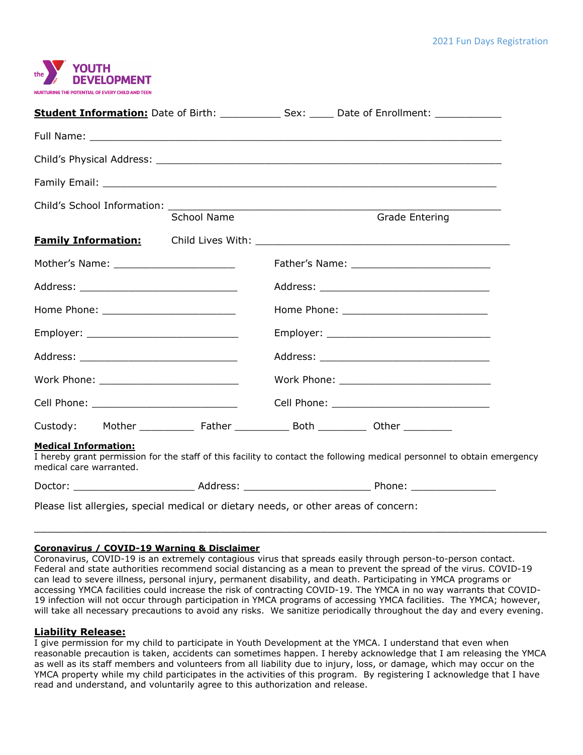

|                                                        | School Name | Grade Entering                                                                                                          |  |
|--------------------------------------------------------|-------------|-------------------------------------------------------------------------------------------------------------------------|--|
| <b>Family Information:</b>                             |             |                                                                                                                         |  |
|                                                        |             |                                                                                                                         |  |
|                                                        |             |                                                                                                                         |  |
| Home Phone: ___________________________                |             |                                                                                                                         |  |
|                                                        |             |                                                                                                                         |  |
|                                                        |             |                                                                                                                         |  |
|                                                        |             |                                                                                                                         |  |
|                                                        |             |                                                                                                                         |  |
|                                                        |             |                                                                                                                         |  |
| <b>Medical Information:</b><br>medical care warranted. |             | I hereby grant permission for the staff of this facility to contact the following medical personnel to obtain emergency |  |
|                                                        |             |                                                                                                                         |  |
|                                                        |             | Please list allergies, special medical or dietary needs, or other areas of concern:                                     |  |

### **Coronavirus / COVID-19 Warning & Disclaimer**

Coronavirus, COVID-19 is an extremely contagious virus that spreads easily through person-to-person contact. Federal and state authorities recommend social distancing as a mean to prevent the spread of the virus. COVID-19 can lead to severe illness, personal injury, permanent disability, and death. Participating in YMCA programs or accessing YMCA facilities could increase the risk of contracting COVID-19. The YMCA in no way warrants that COVID-19 infection will not occur through participation in YMCA programs of accessing YMCA facilities. The YMCA; however, will take all necessary precautions to avoid any risks. We sanitize periodically throughout the day and every evening.

 $\_$  , and the contribution of the contribution of the contribution of the contribution of the contribution of  $\mathcal{L}_\mathbf{C}$ 

### **Liability Release:**

I give permission for my child to participate in Youth Development at the YMCA. I understand that even when reasonable precaution is taken, accidents can sometimes happen. I hereby acknowledge that I am releasing the YMCA as well as its staff members and volunteers from all liability due to injury, loss, or damage, which may occur on the YMCA property while my child participates in the activities of this program. By registering I acknowledge that I have read and understand, and voluntarily agree to this authorization and release.